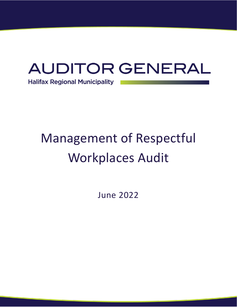

# Management of Respectful Workplaces Audit

June 2022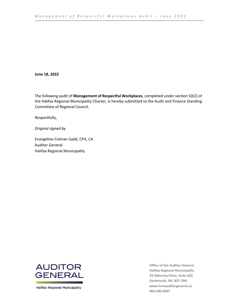# **June 18, 2022**

The following audit of **Management of Respectful Workplaces**, completed under section 50(2) of the Halifax Regional Municipality Charter, is hereby submitted to the Audit and Finance Standing Committee of Regional Council.

Respectfully,

*Original signed by*

Evangeline Colman-Sadd, CPA, CA Auditor General Halifax Regional Municipality



**Halifax Regional Municipality** 

**Office of the Auditor General Halifax Regional Municipality 33 Alderney Drive, Suite 620 Dartmouth, NS, B2Y 2N4 [www.hrmauditorgeneral.ca](http://www.hrmauditorgeneral.ca/) 902.490.8407**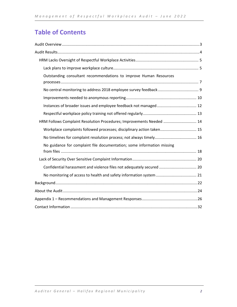# **Table of Contents**

| Outstanding consultant recommendations to improve Human Resources      |
|------------------------------------------------------------------------|
|                                                                        |
|                                                                        |
|                                                                        |
|                                                                        |
| HRM Follows Complaint Resolution Procedures; Improvements Needed  14   |
| Workplace complaints followed processes; disciplinary action taken 15  |
|                                                                        |
| No guidance for complaint file documentation; some information missing |
|                                                                        |
| Confidential harassment and violence files not adequately secured  20  |
|                                                                        |
|                                                                        |
|                                                                        |
|                                                                        |
|                                                                        |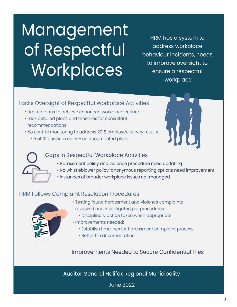# <span id="page-3-0"></span>**Management** of Respectful Workplaces

HRM has a system to address workplace behaviour incidents, needs to improve oversight to ensure a respectful workplace

# Lacks Oversight of Respectful Workplace Activities

- · Limited plans to achieve enhanced workplace culture
- Lack detailed plans and timelines for consultant recommendations
- . No central monitoring to address 2018 employee survey results
	- . 5 of 10 business units no documented plans



# **Gaps in Respectful Workplace Activities**

- Harassment policy and violence procedure need updating
- . No whistleblower policy; anonymous reporting options need improvement
- · Instances of broader workplace issues not managed

# **HRM Follows Complaint Resolution Procedures**



- · Testing found harassment and violence complaints reviewed and investigated per procedures
	- · Disciplinary action taken when appropriate
- · Improvements needed:
	- Establish timelines for harassment complaint process
	- · Better file documentation

**Improvements Needed to Secure Confidential Files** 

Auditor General Halifax Regional Municipality

**June 2022**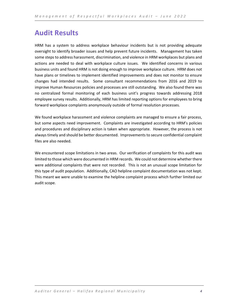# <span id="page-4-0"></span>**Audit Results**

HRM has a system to address workplace behaviour incidents but is not providing adequate oversight to identify broader issues and help prevent future incidents. Management has taken some steps to address harassment, discrimination, and violence in HRM workplaces but plans and actions are needed to deal with workplace culture issues. We identified concerns in various business units and found HRM is not doing enough to improve workplace culture. HRM does not have plans or timelines to implement identified improvements and does not monitor to ensure changes had intended results. Some consultant recommendations from 2016 and 2019 to improve Human Resources policies and processes are still outstanding. We also found there was no centralized formal monitoring of each business unit's progress towards addressing 2018 employee survey results. Additionally, HRM has limited reporting options for employees to bring forward workplace complaints anonymously outside of formal resolution processes.

We found workplace harassment and violence complaints are managed to ensure a fair process, but some aspects need improvement. Complaints are investigated according to HRM's policies and procedures and disciplinary action is taken when appropriate. However, the process is not always timely and should be better documented. Improvements to secure confidential complaint files are also needed.

We encountered scope limitations in two areas. Our verification of complaints for this audit was limited to those which were documented in HRM records. We could not determine whether there were additional complaints that were not recorded. This is not an unusual scope limitation for this type of audit population. Additionally, CAO helpline complaint documentation was not kept. This meant we were unable to examine the helpline complaint process which further limited our audit scope.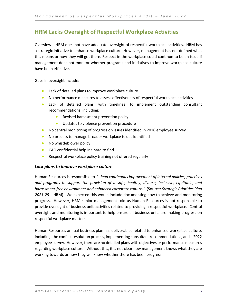# <span id="page-5-0"></span>**HRM Lacks Oversight of Respectful Workplace Activities**

Overview – HRM does not have adequate oversight of respectful workplace activities. HRM has a strategic initiative to enhance workplace culture. However, management has not defined what this means or how they will get there. Respect in the workplace could continue to be an issue if management does not monitor whether programs and initiatives to improve workplace culture have been effective.

Gaps in oversight include:

- Lack of detailed plans to improve workplace culture
- No performance measures to assess effectiveness of respectful workplace activities
- Lack of detailed plans, with timelines, to implement outstanding consultant recommendations, including:
	- Revised harassment prevention policy
	- Updates to violence prevention procedure
- No central monitoring of progress on issues identified in 2018 employee survey
- No process to manage broader workplace issues identified
- No whistleblower policy
- CAO confidential helpline hard to find
- Respectful workplace policy training not offered regularly

# <span id="page-5-1"></span>*Lack plans to improve workplace culture*

Human Resources is responsible to *"…lead continuous improvement of internal policies, practices and programs to support the provision of a safe, healthy, diverse, inclusive, equitable, and harassment-free environment and enhanced corporate culture."* (Source: *Strategic Priorities Plan 2021-25* – HRM). We expected this would include documenting how to achieve and monitoring progress. However, HRM senior management told us Human Resources is not responsible to provide oversight of business unit activities related to providing a respectful workplace. Central oversight and monitoring is important to help ensure all business units are making progress on respectful workplace matters.

Human Resources annual business plan has deliverables related to enhanced workplace culture, including: the conflict resolution process, implementing consultant recommendations, and a 2022 employee survey. However, there are no detailed plans with objectives or performance measures regarding workplace culture. Without this, it is not clear how management knows what they are working towards or how they will know whether there has been progress.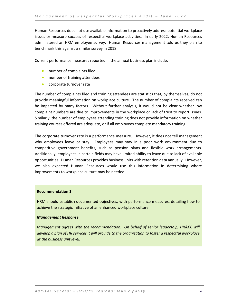Human Resources does not use available information to proactively address potential workplace issues or measure success of respectful workplace activities. In early 2022, Human Resources administered an HRM employee survey. Human Resources management told us they plan to benchmark this against a similar survey in 2018.

Current performance measures reported in the annual business plan include:

- number of complaints filed
- number of training attendees
- corporate turnover rate

The number of complaints filed and training attendees are statistics that, by themselves, do not provide meaningful information on workplace culture. The number of complaints received can be impacted by many factors. Without further analysis, it would not be clear whether low complaint numbers are due to improvements in the workplace or lack of trust to report issues. Similarly, the number of employees attending training does not provide information on whether training courses offered are adequate, or if all employees complete mandatory training.

The corporate turnover rate is a performance measure. However, it does not tell management why employees leave or stay. Employees may stay in a poor work environment due to competitive government benefits, such as pension plans and flexible work arrangements. Additionally, employees in certain fields may have limited ability to leave due to lack of available opportunities. Human Resources provides business units with retention data annually. However, we also expected Human Resources would use this information in determining where improvements to workplace culture may be needed.

# **Recommendation 1**

HRM should establish documented objectives, with performance measures, detailing how to achieve the strategic initiative of an enhanced workplace culture.

# *Management Response*

*Management agrees with the recommendation. On behalf of senior leadership, HR&CC will develop a plan of HR services it will provide to the organization to foster a respectful workplace at the business unit level.*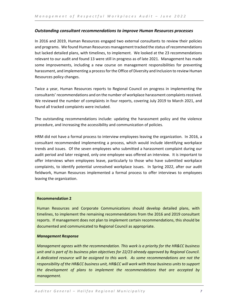# <span id="page-7-0"></span>*Outstanding consultant recommendations to improve Human Resources processes*

In 2016 and 2019, Human Resources engaged two external consultants to review their policies and programs. We found Human Resources management tracked the status of recommendations but lacked detailed plans, with timelines, to implement. We looked at the 23 recommendations relevant to our audit and found 13 were still in progress as of late 2021. Management has made some improvements, including a new course on management responsibilities for preventing harassment, and implementing a process for the Office of Diversity and Inclusion to review Human Resources policy changes.

Twice a year, Human Resources reports to Regional Council on progress in implementing the consultants' recommendations and on the number of workplace harassment complaints received. We reviewed the number of complaints in four reports, covering July 2019 to March 2021, and found all tracked complaints were included.

The outstanding recommendations include: updating the harassment policy and the violence procedure, and increasing the accessibility and communication of policies.

HRM did not have a formal process to interview employees leaving the organization. In 2016, a consultant recommended implementing a process, which would include identifying workplace trends and issues. Of the seven employees who submitted a harassment complaint during our audit period and later resigned, only one employee was offered an interview. It is important to offer interviews when employees leave, particularly to those who have submitted workplace complaints, to identify potential unresolved workplace issues. In Spring 2022, after our audit fieldwork, Human Resources implemented a formal process to offer interviews to employees leaving the organization.

# **Recommendation 2**

Human Resources and Corporate Communications should develop detailed plans, with timelines, to implement the remaining recommendations from the 2016 and 2019 consultant reports. If management does not plan to implement certain recommendations, this should be documented and communicated to Regional Council as appropriate.

# *Management Response*

*Management agrees with the recommendation. This work is a priority for the HR&CC business unit and is part of its business plan objectives for 22/23 already approved by Regional Council. A dedicated resource will be assigned to this work. As some recommendations are not the responsibility of the HR&CC business unit, HR&CC will work with those business units to support the development of plans to implement the recommendations that are accepted by management.*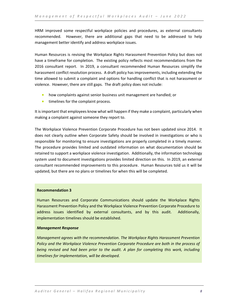HRM improved some respectful workplace policies and procedures, as external consultants recommended. However, there are additional gaps that need to be addressed to help management better identify and address workplace issues.

Human Resources is revising the Workplace Rights Harassment Prevention Policy but does not have a timeframe for completion. The existing policy reflects most recommendations from the 2016 consultant report. In 2019, a consultant recommended Human Resources simplify the harassment conflict resolution process. A draft policy has improvements, including extending the time allowed to submit a complaint and options for handling conflict that is not harassment or violence. However, there are still gaps. The draft policy does not include:

- how complaints against senior business unit management are handled; or
- timelines for the complaint process.

It is important that employees know what will happen if they make a complaint, particularly when making a complaint against someone they report to.

The Workplace Violence Prevention Corporate Procedure has not been updated since 2014. It does not clearly outline when Corporate Safety should be involved in investigations or who is responsible for monitoring to ensure investigations are properly completed in a timely manner. The procedure provides limited and outdated information on what documentation should be retained to support a workplace violence investigation. Additionally, the information technology system used to document investigations provides limited direction on this. In 2019, an external consultant recommended improvements to this procedure. Human Resources told us it will be updated, but there are no plans or timelines for when this will be completed.

# **Recommendation 3**

Human Resources and Corporate Communications should update the Workplace Rights Harassment Prevention Policy and the Workplace Violence Prevention Corporate Procedure to address issues identified by external consultants, and by this audit. Additionally, implementation timelines should be established.

# *Management Response*

*Management agrees with the recommendation. The Workplace Rights Harassment Prevention Policy and the Workplace Violence Prevention Corporate Procedure are both in the process of being revised and had been prior to the audit. A plan for completing this work, including timelines for implementation, will be developed.*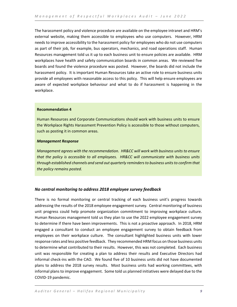The harassment policy and violence procedure are available on the employee intranet and HRM's external website, making them accessible to employees who use computers. However, HRM needs to improve accessibility to the harassment policy for employees who do not use computers as part of their job, for example, bus operators, mechanics, and road operations staff. Human Resources management told us it up to each business unit to ensure policies are available. HRM workplaces have health and safety communication boards in common areas. We reviewed five boards and found the violence procedure was posted. However, the boards did not include the harassment policy. It is important Human Resources take an active role to ensure business units provide all employees with reasonable access to this policy. This will help ensure employees are aware of expected workplace behaviour and what to do if harassment is happening in the workplace.

# **Recommendation 4**

Human Resources and Corporate Communications should work with business units to ensure the Workplace Rights Harassment Prevention Policy is accessible to those without computers, such as posting it in common areas.

# *Management Response*

*Management agrees with the recommendation. HR&CC will work with business units to ensure that the policy is accessible to all employees. HR&CC will communicate with business units through established channels and send out quarterly reminders to business units to confirm that the policy remains posted.*

# <span id="page-9-0"></span>*No central monitoring to address 2018 employee survey feedback*

There is no formal monitoring or central tracking of each business unit's progress towards addressing the results of the 2018 employee engagement survey. Central monitoring of business unit progress could help promote organization commitment to improving workplace culture. Human Resources management told us they plan to use the 2022 employee engagement survey to determine if there have been improvements. This is not a proactive approach. In 2018, HRM engaged a consultant to conduct an employee engagement survey to obtain feedback from employees on their workplace culture. The consultant highlighted business units with lower response rates and less positive feedback. They recommended HRM focus on those business units to determine what contributed to their results. However, this was not completed. Each business unit was responsible for creating a plan to address their results and Executive Directors had informal check-ins with the CAO. We found five of 10 business units did not have documented plans to address the 2018 survey results. Most business units had working committees, with informal plans to improve engagement. Some told us planned initiatives were delayed due to the COVID-19 pandemic.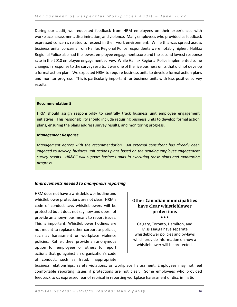During our audit, we requested feedback from HRM employees on their experiences with workplace harassment, discrimination, and violence. Many employees who provided us feedback expressed concerns related to respect in their work environment. While this was spread across business units, concerns from Halifax Regional Police respondents were notably higher. Halifax Regional Police also had the lowest employee engagement score and the second lowest response rate in the 2018 employee engagement survey. While Halifax Regional Police implemented some changes in response to the survey results, it was one of the five business units that did not develop a formal action plan. We expected HRM to require business units to develop formal action plans and monitor progress. This is particularly important for business units with less positive survey results.

# **Recommendation 5**

HRM should assign responsibility to centrally track business unit employee engagement initiatives. This responsibility should include requiring business units to develop formal action plans, ensuring the plans address survey results, and monitoring progress.

# *Management Response*

*Management agrees with the recommendation. An external consultant has already been engaged to develop business unit actions plans based on the pending employee engagement survey results. HR&CC will support business units in executing these plans and monitoring progress.* 

# <span id="page-10-0"></span>*Improvements needed to anonymous reporting*

HRM does not have a whistleblower hotline and whistleblower protections are not clear. HRM's code of conduct says whistleblowers will be protected but it does not say how and does not provide an anonymous means to report issues. This is important. Whistleblower hotlines are not meant to replace other corporate policies, such as harassment or workplace violence policies. Rather, they provide an anonymous option for employees or others to report actions that go against an organization's code of conduct, such as fraud, inappropriate

# **Other Canadian municipalities have clear whistleblower protections** • • •

Calgary, Toronto, Hamilton, and Mississauga have separate whistleblower policies and by-laws which provide information on how a whistleblower will be protected.

business relationships, safety violations, or workplace harassment. Employees may not feel comfortable reporting issues if protections are not clear. Some employees who provided feedback to us expressed fear of reprisal in reporting workplace harassment or discrimination.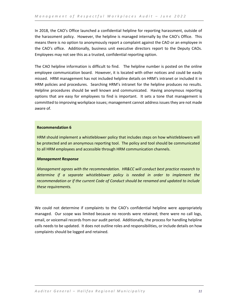In 2018, the CAO's Office launched a confidential helpline for reporting harassment, outside of the harassment policy. However, the helpline is managed internally by the CAO's Office. This means there is no option to anonymously report a complaint against the CAO or an employee in the CAO's office. Additionally, business unit executive directors report to the Deputy CAOs. Employees may not see this as a trusted, confidential reporting option.

The CAO helpline information is difficult to find. The helpline number is posted on the online employee communication board. However, it is located with other notices and could be easily missed. HRM management has not included helpline details on HRM's intranet or included it in HRM policies and procedures. Searching HRM's intranet for the helpline produces no results. Helpline procedures should be well known and communicated. Having anonymous reporting options that are easy for employees to find is important. It sets a tone that management is committed to improving workplace issues; management cannot address issues they are not made aware of.

# **Recommendation 6**

HRM should implement a whistleblower policy that includes steps on how whistleblowers will be protected and an anonymous reporting tool. The policy and tool should be communicated to all HRM employees and accessible through HRM communication channels.

# *Management Response*

*Management agrees with the recommendation. HR&CC will conduct best practice research to determine if a separate whistleblower policy is needed in order to implement the recommendation or if the current Code of Conduct should be renamed and updated to include these requirements.*

We could not determine if complaints to the CAO's confidential helpline were appropriately managed. Our scope was limited because no records were retained; there were no call logs, email, or voicemail records from our audit period. Additionally, the process for handling helpline calls needs to be updated. It does not outline roles and responsibilities, or include details on how complaints should be logged and retained.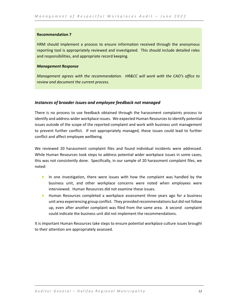HRM should implement a process to ensure information received through the anonymous reporting tool is appropriately reviewed and investigated. This should include detailed roles and responsibilities, and appropriate record keeping.

# *Management Response*

*Management agrees with the recommendation. HR&CC will work with the CAO's office to review and document the current process.*

# <span id="page-12-0"></span>*Instances of broader issues and employee feedback not managed*

There is no process to use feedback obtained through the harassment complaints process to identify and address wider workplace issues. We expected Human Resources to identify potential issues outside of the scope of the reported complaint and work with business unit management to prevent further conflict. If not appropriately managed, these issues could lead to further conflict and affect employee wellbeing.

We reviewed 20 harassment complaint files and found individual incidents were addressed. While Human Resources took steps to address potential wider workplace issues in some cases, this was not consistently done. Specifically, in our sample of 20 harassment complaint files, we noted:

- In one investigation, there were issues with how the complaint was handled by the business unit, and other workplace concerns were noted when employees were interviewed. Human Resources did not examine these issues.
- Human Resources completed a workplace assessment three years ago for a business unit area experiencing group conflict. They provided recommendations but did not follow up, even after another complaint was filed from the same area. A second complaint could indicate the business unit did not implement the recommendations.

It is important Human Resources take steps to ensure potential workplace culture issues brought to their attention are appropriately assessed.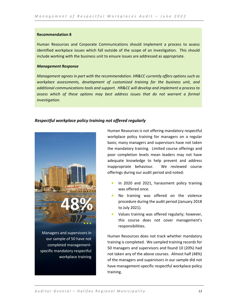Human Resources and Corporate Communications should implement a process to assess identified workplace issues which fall outside of the scope of an investigation. This should include working with the business unit to ensure issues are addressed as appropriate.

#### *Management Response*

*Management agrees in part with the recommendation. HR&CC currently offers options such as workplace assessments, development of customized training for the business unit, and additional communications tools and support. HR&CC will develop and implement a process to assess which of these options may best address issues that do not warrant a formal investigation.* 

# <span id="page-13-0"></span>*Respectful workplace policy training not offered regularly*



specific mandatory respectful

workplace training

Human Resources is not offering mandatory respectful workplace policy training for managers on a regular basis; many managers and supervisors have not taken the mandatory training. Limited course offerings and poor completion levels mean leaders may not have adequate knowledge to help prevent and address inappropriate behaviour. We reviewed course offerings during our audit period and noted:

- In 2020 and 2021, harassment policy training was offered once.
- No training was offered on the violence procedure during the audit period (January 2018 to July 2021).
- Values training was offered regularly; however, this course does not cover management's responsibilities.

Human Resources does not track whether mandatory training is completed. We sampled training records for 50 managers and supervisors and found 10 (20%) had not taken any of the above courses. Almost half (48%) of the managers and supervisors in our sample did not have management-specific respectful workplace policy training.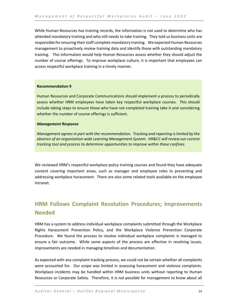While Human Resources has training records, the information is not used to determine who has attended mandatory training and who still needs to take training. They told us business units are responsible for ensuring their staff complete mandatory training. We expected Human Resources management to proactively review training data and identify those with outstanding mandatory training. This information would help Human Resources assess whether they should adjust the number of course offerings. To improve workplace culture, it is important that employees can access respectful workplace training in a timely manner.

# **Recommendation 9**

Human Resources and Corporate Communications should implement a process to periodically assess whether HRM employees have taken key respectful workplace courses. This should include taking steps to ensure those who have not completed training take it and considering whether the number of course offerings is sufficient.

# *Management Response*

*Management agrees in part with the recommendation. Tracking and reporting is limited by the absence of an organization wide Learning Management System. HR&CC will review our current tracking tool and process to determine opportunities to improve within these confines.*

We reviewed HRM's respectful workplace policy training courses and found they have adequate content covering important areas, such as manager and employee roles in preventing and addressing workplace harassment. There are also some related tools available on the employee intranet.

# <span id="page-14-0"></span>**HRM Follows Complaint Resolution Procedures; Improvements Needed**

HRM has a system to address individual workplace complaints submitted through the Workplace Rights Harassment Prevention Policy, and the Workplace Violence Prevention Corporate Procedure. We found the process to resolve individual workplace complaints is managed to ensure a fair outcome. While some aspects of the process are effective in resolving issues, improvements are needed in managing timelines and documentation.

As expected with any complaint tracking process, we could not be certain whether all complaints were accounted for. Our scope was limited in assessing harassment and violence complaints. Workplace incidents may be handled within HRM business units without reporting to Human Resources or Corporate Safety. Therefore, it is not possible for management to know about all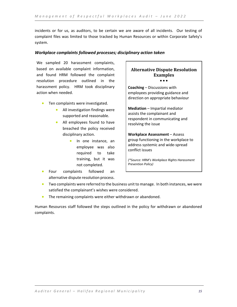incidents or for us, as auditors, to be certain we are aware of all incidents. Our testing of complaint files was limited to those tracked by Human Resources or within Corporate Safety's system.

# <span id="page-15-0"></span>*Workplace complaints followed processes; disciplinary action taken*

We sampled 20 harassment complaints, based on available complaint information, and found HRM followed the complaint resolution procedure outlined in the harassment policy. HRM took disciplinary action when needed.

- Ten complaints were investigated.
	- All investigation findings were supported and reasonable.
	- All employees found to have breached the policy received disciplinary action.
		- In one instance, an employee was also required to take training, but it was not completed.
- Four complaints followed an alternative dispute resolution process.

# **Alternative Dispute Resolution Examples** • • •

**Coaching** – Discussions with employees providing guidance and direction on appropriate behaviour

**Mediation** – Impartial mediator assists the complainant and respondent in communicating and resolving the issue

**Workplace Assessment** – Assess group functioning in the workplace to address systemic and wide-spread conflict issues

*(\*Source: HRM's Workplace Rights Harassment Prevention Policy)*

- Two complaints were referred to the business unit to manage. In both instances, we were satisfied the complainant's wishes were considered.
- The remaining complaints were either withdrawn or abandoned.

Human Resources staff followed the steps outlined in the policy for withdrawn or abandoned complaints.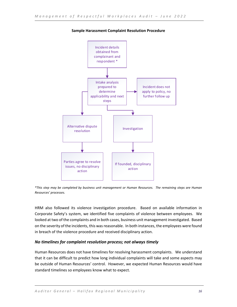

**Sample Harassment Complaint Resolution Procedure**

*\*This step may be completed by business unit management or Human Resources. The remaining steps are Human Resources' processes.*

HRM also followed its violence investigation procedure. Based on available information in Corporate Safety's system, we identified five complaints of violence between employees. We looked at two of the complaints and in both cases, business unit management investigated. Based on the severity of the incidents, this was reasonable. In both instances, the employees were found in breach of the violence procedure and received disciplinary action.

# <span id="page-16-0"></span>*No timelines for complaint resolution process; not always timely*

Human Resources does not have timelines for resolving harassment complaints. We understand that it can be difficult to predict how long individual complaints will take and some aspects may be outside of Human Resources' control. However, we expected Human Resources would have standard timelines so employees know what to expect.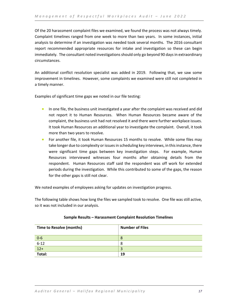Of the 20 harassment complaint files we examined, we found the process was not always timely. Complaint timelines ranged from one week to more than two years. In some instances, initial analysis to determine if an investigation was needed took several months. The 2016 consultant report recommended appropriate resources for intake and investigation so these can begin immediately. The consultant noted investigations should only go beyond 90 days in extraordinary circumstances.

An additional conflict resolution specialist was added in 2019. Following that, we saw some improvement in timelines. However, some complaints we examined were still not completed in a timely manner.

Examples of significant time gaps we noted in our file testing:

- In one file, the business unit investigated a year after the complaint was received and did not report it to Human Resources. When Human Resources became aware of the complaint, the business unit had not resolved it and there were further workplace issues. It took Human Resources an additional year to investigate the complaint. Overall, it took more than two years to resolve.
- For another file, it took Human Resources 15 months to resolve. While some files may take longer due to complexity or issues in scheduling key interviews, in this instance, there were significant time gaps between key investigation steps. For example, Human Resources interviewed witnesses four months after obtaining details from the respondent. Human Resources staff said the respondent was off work for extended periods during the investigation. While this contributed to some of the gaps, the reason for the other gaps is still not clear.

We noted examples of employees asking for updates on investigation progress.

The following table shows how long the files we sampled took to resolve. One file was still active, so it was not included in our analysis.

| Time to Resolve (months) | <b>Number of Files</b> |
|--------------------------|------------------------|
| $0-6$                    |                        |
| $6-12$                   | 8                      |
| $12+$                    |                        |
| Total:                   | 19                     |

# **Sample Results – Harassment Complaint Resolution Timelines**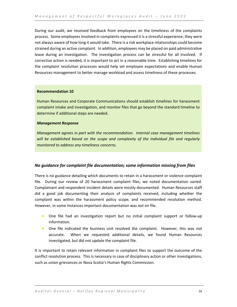During our audit, we received feedback from employees on the timeliness of the complaints process. Some employees involved in complaints expressed it is a stressful experience; they were not always aware of how long it would take. There is a risk workplace relationships could become strained during an active complaint. In addition, employees may be placed on paid administrative leave during an investigation. The investigation process can be stressful for all involved. If corrective action is needed, it is important to act in a reasonable time. Establishing timelines for the complaint resolution processes would help set employee expectations and enable Human Resources management to better manage workload and assess timeliness of these processes.

# **Recommendation 10**

Human Resources and Corporate Communications should establish timelines for harassment complaint intake and investigation, and monitor files that go beyond the standard timeline to determine if additional steps are needed.

# *Management Response*

*Management agrees in part with the recommendation. Internal case management timelines will be established based on the scope and complexity of the individual file and regularly monitored to address any timeliness concerns.*

# <span id="page-18-0"></span>*No guidance for complaint file documentation; some information missing from files*

There is no guidance detailing which documents to retain in a harassment or violence complaint file. During our review of 20 harassment complaint files, we noted documentation varied. Complainant and respondent incident details were mostly documented. Human Resources staff did a good job documenting their analysis of complaints received, including whether the complaint was within the harassment policy scope, and recommended resolution method. However, in some instances important documentation was not on file.

- One file had an investigation report but no initial complaint support or follow-up information.
- One file indicated the business unit resolved the complaint. However, this was not accurate. When we requested additional details, we found Human Resources investigated, but did not update the complaint file.

It is important to retain relevant information in complaint files to support the outcome of the conflict resolution process. This is necessary in case of disciplinary action or other investigations, such as union grievances or Nova Scotia's Human Rights Commission.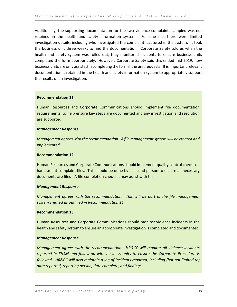Additionally, the supporting documentation for the two violence complaints sampled was not retained in the health and safety information system. For one file, there were limited investigation details, including who investigated the complaint, captured in the system. It took the business unit three weeks to find the documentation. Corporate Safety told us when the health and safety system was rolled out, they monitored incidents to ensure business units completed the form appropriately. However, Corporate Safety said this ended mid-2019; now business units are only assisted in completing the form if the unit requests. It is important relevant documentation is retained in the health and safety information system to appropriately support the results of an investigation.

# **Recommendation 11**

Human Resources and Corporate Communications should implement file documentation requirements, to help ensure key steps are documented and any investigation and resolution are supported.

# *Management Response*

*Management agrees with the recommendation. A file management system will be created and implemented.*

# **Recommendation 12**

Human Resources and Corporate Communications should implement quality control checks on harassment complaint files. This should be done by a second person to ensure all necessary documents are filed. A file completion checklist may assist with this.

# *Management Response*

*Management agrees with the recommendation. This will be part of the file management system created as outlined in Recommendation 11.*

# **Recommendation 13**

Human Resources and Corporate Communications should monitor violence incidents in the health and safety system to ensure an appropriate investigation is completed and documented.

# *Management Response*

*Management agrees with the recommendation. HR&CC will monitor all violence incidents reported in EHSM and follow-up with business units to ensure the Corporate Procedure is followed. HR&CC will also maintain a log of incidents reported, including (but not limited to) date reported, reporting person, date complete, and findings.*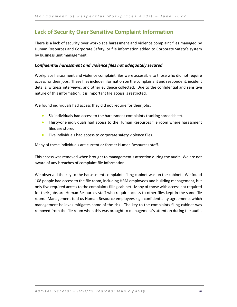# <span id="page-20-0"></span>**Lack of Security Over Sensitive Complaint Information**

There is a lack of security over workplace harassment and violence complaint files managed by Human Resources and Corporate Safety, or file information added to Corporate Safety's system by business unit management.

# <span id="page-20-1"></span>*Confidential harassment and violence files not adequately secured*

Workplace harassment and violence complaint files were accessible to those who did not require access for their jobs. These files include information on the complainant and respondent, incident details, witness interviews, and other evidence collected. Due to the confidential and sensitive nature of this information, it is important file access is restricted.

We found individuals had access they did not require for their jobs:

- Six individuals had access to the harassment complaints tracking spreadsheet.
- Thirty-one individuals had access to the Human Resources file room where harassment files are stored.
- Five individuals had access to corporate safety violence files.

Many of these individuals are current or former Human Resources staff.

This access was removed when brought to management's attention during the audit. We are not aware of any breaches of complaint file information.

We observed the key to the harassment complaints filing cabinet was on the cabinet. We found 108 people had access to the file room, including HRM employees and building management, but only five required access to the complaints filing cabinet. Many of those with access not required for their jobs are Human Resources staff who require access to other files kept in the same file room. Management told us Human Resource employees sign confidentiality agreements which management believes mitigates some of the risk. The key to the complaints filing cabinet was removed from the file room when this was brought to management's attention during the audit.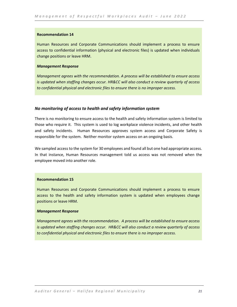Human Resources and Corporate Communications should implement a process to ensure access to confidential information (physical and electronic files) is updated when individuals change positions or leave HRM.

# *Management Response*

*Management agrees with the recommendation. A process will be established to ensure access is updated when staffing changes occur. HR&CC will also conduct a review quarterly of access to confidential physical and electronic files to ensure there is no improper access.*

# <span id="page-21-0"></span>*No monitoring of access to health and safety information system*

There is no monitoring to ensure access to the health and safety information system is limited to those who require it. This system is used to log workplace violence incidents, and other health and safety incidents. Human Resources approves system access and Corporate Safety is responsible for the system. Neither monitor system access on an ongoing basis.

We sampled access to the system for 30 employees and found all but one had appropriate access. In that instance, Human Resources management told us access was not removed when the employee moved into another role.

#### **Recommendation 15**

Human Resources and Corporate Communications should implement a process to ensure access to the health and safety information system is updated when employees change positions or leave HRM.

# *Management Response*

*Management agrees with the recommendation. A process will be established to ensure access is updated when staffing changes occur. HR&CC will also conduct a review quarterly of access to confidential physical and electronic files to ensure there is no improper access.*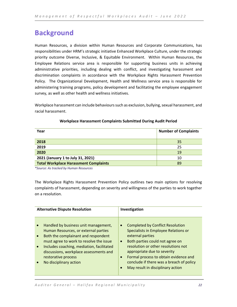# <span id="page-22-0"></span>**Background**

Human Resources, a division within Human Resources and Corporate Communications, has responsibilities under HRM's strategic initiative Enhanced Workplace Culture, under the strategic priority outcome Diverse, Inclusive, & Equitable Environment. Within Human Resources, the Employee Relations service area is responsible for supporting business units in achieving administrative priorities, including dealing with conflict, and investigating harassment and discrimination complaints in accordance with the Workplace Rights Harassment Prevention Policy. The Organizational Development, Health and Wellness service area is responsible for administering training programs, policy development and facilitating the employee engagement survey, as well as other health and wellness initiatives.

Workplace harassment can include behaviours such as exclusion, bullying, sexual harassment, and racial harassment.

| Year                                         | <b>Number of Complaints</b> |
|----------------------------------------------|-----------------------------|
| 2018                                         | 35                          |
| 2019                                         | 25                          |
| 2020                                         | 19                          |
| 2021 (January 1 to July 31, 2021)            | 10                          |
| <b>Total Workplace Harassment Complaints</b> | 89                          |

# **Workplace Harassment Complaints Submitted During Audit Period**

*\*Source: As tracked by Human Resources*

The Workplace Rights Harassment Prevention Policy outlines two main options for resolving complaints of harassment, depending on severity and willingness of the parties to work together on a resolution.

| <b>Alternative Dispute Resolution</b>                                                                                                                                                                                                                                                                                                         | Investigation                                                                                                                                                                                                                                                                                                                                                                              |  |
|-----------------------------------------------------------------------------------------------------------------------------------------------------------------------------------------------------------------------------------------------------------------------------------------------------------------------------------------------|--------------------------------------------------------------------------------------------------------------------------------------------------------------------------------------------------------------------------------------------------------------------------------------------------------------------------------------------------------------------------------------------|--|
|                                                                                                                                                                                                                                                                                                                                               |                                                                                                                                                                                                                                                                                                                                                                                            |  |
| Handled by business unit management,<br>$\bullet$<br>Human Resources, or external parties<br>Both the complainant and respondent<br>$\bullet$<br>must agree to work to resolve the issue<br>Includes coaching, mediation, facilitated<br>$\bullet$<br>discussions, workplace assessments and<br>restorative process<br>No disciplinary action | <b>Completed by Conflict Resolution</b><br>$\bullet$<br>Specialists in Employee Relations or<br>external parties<br>Both parties could not agree on<br>$\bullet$<br>resolution or other resolutions not<br>appropriate due to severity<br>Formal process to obtain evidence and<br>$\bullet$<br>conclude if there was a breach of policy<br>May result in disciplinary action<br>$\bullet$ |  |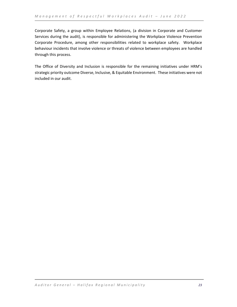Corporate Safety, a group within Employee Relations, (a division in Corporate and Customer Services during the audit), is responsible for administering the Workplace Violence Prevention Corporate Procedure, among other responsibilities related to workplace safety. Workplace behaviour incidents that involve violence or threats of violence between employees are handled through this process.

The Office of Diversity and Inclusion is responsible for the remaining initiatives under HRM's strategic priority outcome Diverse, Inclusive, & Equitable Environment. These initiatives were not included in our audit.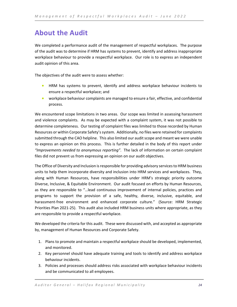# <span id="page-24-0"></span>**About the Audit**

We completed a performance audit of the management of respectful workplaces. The purpose of the audit was to determine if HRM has systems to prevent, identify and address inappropriate workplace behaviour to provide a respectful workplace. Our role is to express an independent audit opinion of this area.

The objectives of the audit were to assess whether:

- HRM has systems to prevent, identify and address workplace behaviour incidents to ensure a respectful workplace; and
- workplace behaviour complaints are managed to ensure a fair, effective, and confidential process.

We encountered scope limitations in two areas. Our scope was limited in assessing harassment and violence complaints. As may be expected with a complaint system, it was not possible to determine completeness. Our testing of complaint files was limited to those recorded by Human Resources or within Corporate Safety's system. Additionally, no files were retained for complaints submitted through the CAO helpline. This also limited our audit scope and meant we were unable to express an opinion on this process. This is further detailed in the body of this report under *"Improvements needed to anonymous reporting"*. The lack of information on certain complaint files did not prevent us from expressing an opinion on our audit objectives.

The Office of Diversity and Inclusion is responsible for providing advisory services to HRM business units to help them incorporate diversity and inclusion into HRM services and workplaces. They, along with Human Resources, have responsibilities under HRM's strategic priority outcome Diverse, Inclusive, & Equitable Environment. Our audit focused on efforts by Human Resources, as they are responsible to "…lead continuous improvement of internal policies, practices and programs to support the provision of a safe, healthy, diverse, inclusive, equitable, and harassment-free environment and enhanced corporate culture." (Source: HRM Strategic Priorities Plan 2021-25). This audit also included HRM business units where appropriate, as they are responsible to provide a respectful workplace.

We developed the criteria for this audit. These were discussed with, and accepted as appropriate by, management of Human Resources and Corporate Safety.

- 1. Plans to promote and maintain a respectful workplace should be developed, implemented, and monitored.
- 2. Key personnel should have adequate training and tools to identify and address workplace behaviour incidents.
- 3. Policies and processes should address risks associated with workplace behaviour incidents and be communicated to all employees.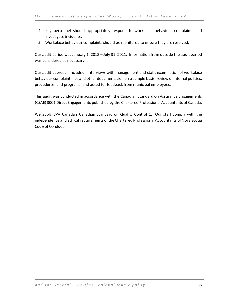- 4. Key personnel should appropriately respond to workplace behaviour complaints and investigate incidents.
- 5. Workplace behaviour complaints should be monitored to ensure they are resolved.

Our audit period was January 1, 2018 – July 31, 2021. Information from outside the audit period was considered as necessary.

Our audit approach included: interviews with management and staff; examination of workplace behaviour complaint files and other documentation on a sample basis; review of internal policies, procedures, and programs; and asked for feedback from municipal employees.

This audit was conducted in accordance with the Canadian Standard on Assurance Engagements (CSAE) 3001 Direct Engagements published by the Chartered Professional Accountants of Canada.

We apply CPA Canada's Canadian Standard on Quality Control 1. Our staff comply with the independence and ethical requirements of the Chartered Professional Accountants of Nova Scotia Code of Conduct.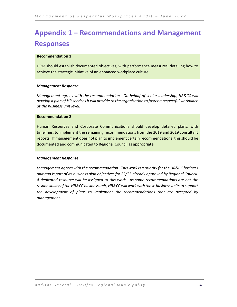# <span id="page-26-0"></span>**Appendix 1 – Recommendations and Management Responses**

# **Recommendation 1**

HRM should establish documented objectives, with performance measures, detailing how to achieve the strategic initiative of an enhanced workplace culture.

# *Management Response*

*Management agrees with the recommendation. On behalf of senior leadership, HR&CC will develop a plan of HR services it will provide to the organization to foster a respectful workplace at the business unit level.*

# **Recommendation 2**

Human Resources and Corporate Communications should develop detailed plans, with timelines, to implement the remaining recommendations from the 2019 and 2019 consultant reports. If management does not plan to implement certain recommendations, this should be documented and communicated to Regional Council as appropriate.

# *Management Response*

*Management agrees with the recommendation. This work is a priority for the HR&CC business unit and is part of its business plan objectives for 22/23 already approved by Regional Council. A dedicated resource will be assigned to this work. As some recommendations are not the responsibility of the HR&CC business unit, HR&CC will work with those business units to support the development of plans to implement the recommendations that are accepted by management.*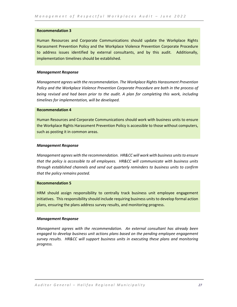Human Resources and Corporate Communications should update the Workplace Rights Harassment Prevention Policy and the Workplace Violence Prevention Corporate Procedure to address issues identified by external consultants, and by this audit. Additionally, implementation timelines should be established.

# *Management Response*

*Management agrees with the recommendation. The Workplace Rights Harassment Prevention Policy and the Workplace Violence Prevention Corporate Procedure are both in the process of being revised and had been prior to the audit. A plan for completing this work, including timelines for implementation, will be developed.* 

# **Recommendation 4**

Human Resources and Corporate Communications should work with business units to ensure the Workplace Rights Harassment Prevention Policy is accessible to those without computers, such as posting it in common areas.

# *Management Response*

*Management agrees with the recommendation. HR&CC will work with business units to ensure that the policy is accessible to all employees. HR&CC will communicate with business units through established channels and send out quarterly reminders to business units to confirm that the policy remains posted.*

# **Recommendation 5**

HRM should assign responsibility to centrally track business unit employee engagement initiatives. This responsibility should include requiring business units to develop formal action plans, ensuring the plans address survey results, and monitoring progress.

# *Management Response*

*Management agrees with the recommendation. An external consultant has already been engaged to develop business unit actions plans based on the pending employee engagement survey results. HR&CC will support business units in executing these plans and monitoring progress.*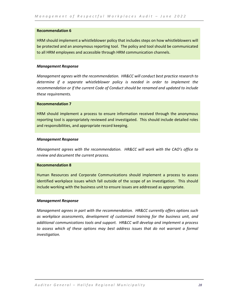HRM should implement a whistleblower policy that includes steps on how whistleblowers will be protected and an anonymous reporting tool. The policy and tool should be communicated to all HRM employees and accessible through HRM communication channels.

# *Management Response*

*Management agrees with the recommendation. HR&CC will conduct best practice research to determine if a separate whistleblower policy is needed in order to implement the recommendation or if the current Code of Conduct should be renamed and updated to include these requirements.*

# **Recommendation 7**

HRM should implement a process to ensure information received through the anonymous reporting tool is appropriately reviewed and investigated. This should include detailed roles and responsibilities, and appropriate record keeping.

# *Management Response*

*Management agrees with the recommendation. HR&CC will work with the CAO's office to review and document the current process.* 

# **Recommendation 8**

Human Resources and Corporate Communications should implement a process to assess identified workplace issues which fall outside of the scope of an investigation. This should include working with the business unit to ensure issues are addressed as appropriate.

#### *Management Response*

*Management agrees in part with the recommendation. HR&CC currently offers options such as workplace assessments, development of customized training for the business unit, and additional communications tools and support. HR&CC will develop and implement a process to assess which of these options may best address issues that do not warrant a formal investigation.*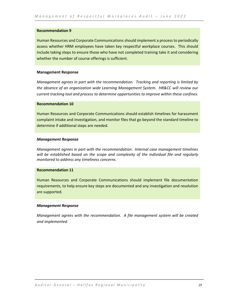Human Resources and Corporate Communications should implement a process to periodically assess whether HRM employees have taken key respectful workplace courses. This should include taking steps to ensure those who have not completed training take it and considering whether the number of course offerings is sufficient.

# **Management Response**

*Management agrees in part with the recommendation. Tracking and reporting is limited by the absence of an organization wide Learning Management System. HR&CC will review our current tracking tool and process to determine opportunities to improve within these confines.*

# **Recommendation 10**

Human Resources and Corporate Communications should establish timelines for harassment complaint intake and investigation, and monitor files that go beyond the standard timeline to determine if additional steps are needed.

# *Management Response*

*Management agrees in part with the recommendation. Internal case management timelines will be established based on the scope and complexity of the individual file and regularly monitored to address any timeliness concerns.*

# **Recommendation 11**

Human Resources and Corporate Communications should implement file documentation requirements, to help ensure key steps are documented and any investigation and resolution are supported.

# *Management Response*

*Management agrees with the recommendation. A file management system will be created and implemented.*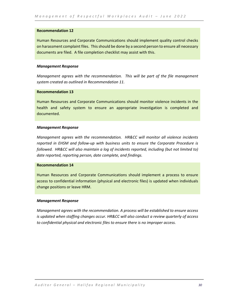Human Resources and Corporate Communications should implement quality control checks on harassment complaint files. This should be done by a second person to ensure all necessary documents are filed. A file completion checklist may assist with this.

# *Management Response*

*Management agrees with the recommendation. This will be part of the file management system created as outlined in Recommendation 11.*

# **Recommendation 13**

Human Resources and Corporate Communications should monitor violence incidents in the health and safety system to ensure an appropriate investigation is completed and documented.

# *Management Response*

*Management agrees with the recommendation. HR&CC will monitor all violence incidents reported in EHSM and follow-up with business units to ensure the Corporate Procedure is followed. HR&CC will also maintain a log of incidents reported, including (but not limited to) date reported, reporting person, date complete, and findings.* 

# **Recommendation 14**

Human Resources and Corporate Communications should implement a process to ensure access to confidential information (physical and electronic files) is updated when individuals change positions or leave HRM.

# *Management Response*

*Management agrees with the recommendation. A process will be established to ensure access is updated when staffing changes occur. HR&CC will also conduct a review quarterly of access to confidential physical and electronic files to ensure there is no improper access.*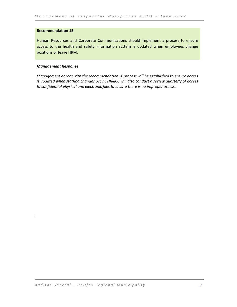Human Resources and Corporate Communications should implement a process to ensure access to the health and safety information system is updated when employees change positions or leave HRM.

# *Management Response*

.

*Management agrees with the recommendation. A process will be established to ensure access is updated when staffing changes occur. HR&CC will also conduct a review quarterly of access to confidential physical and electronic files to ensure there is no improper access.*